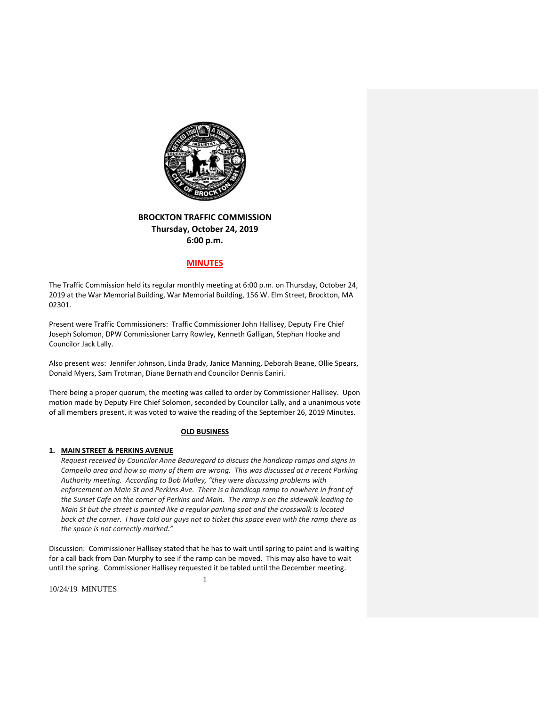

# **BROCKTON TRAFFIC COMMISSION Thursday, October 24, 2019 6:00 p.m.**

## **MINUTES**

The Traffic Commission held its regular monthly meeting at 6:00 p.m. on Thursday, October 24, 2019 at the War Memorial Building, War Memorial Building, 156 W. Elm Street, Brockton, MA 02301.

Present were Traffic Commissioners: Traffic Commissioner John Hallisey, Deputy Fire Chief Joseph Solomon, DPW Commissioner Larry Rowley, Kenneth Galligan, Stephan Hooke and Councilor Jack Lally.

Also present was: Jennifer Johnson, Linda Brady, Janice Manning, Deborah Beane, Ollie Spears, Donald Myers, Sam Trotman, Diane Bernath and Councilor Dennis Eaniri.

There being a proper quorum, the meeting was called to order by Commissioner Hallisey. Upon motion made by Deputy Fire Chief Solomon, seconded by Councilor Lally, and a unanimous vote of all members present, it was voted to waive the reading of the September 26, 2019 Minutes.

### **OLD BUSINESS**

### **1. MAIN STREET & PERKINS AVENUE**

*Request received by Councilor Anne Beauregard to discuss the handicap ramps and signs in Campello area and how so many of them are wrong. This was discussed at a recent Parking Authority meeting. According to Bob Malley, "they were discussing problems with enforcement on Main St and Perkins Ave. There is a handicap ramp to nowhere in front of the Sunset Cafe on the corner of Perkins and Main. The ramp is on the sidewalk leading to Main St but the street is painted like a regular parking spot and the crosswalk is located* back at the corner. I have told our guys not to ticket this space even with the ramp there as *the space is not correctly marked."* 

Discussion: Commissioner Hallisey stated that he has to wait until spring to paint and is waiting for a call back from Dan Murphy to see if the ramp can be moved. This may also have to wait until the spring. Commissioner Hallisey requested it be tabled until the December meeting.

1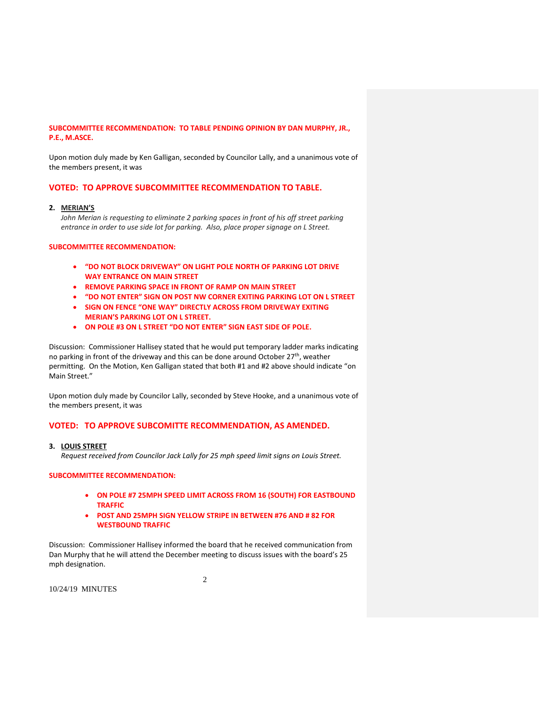## **SUBCOMMITTEE RECOMMENDATION: TO TABLE PENDING OPINION BY DAN MURPHY, JR., P.E., M.ASCE.**

Upon motion duly made by Ken Galligan, seconded by Councilor Lally, and a unanimous vote of the members present, it was

## **VOTED: TO APPROVE SUBCOMMITTEE RECOMMENDATION TO TABLE.**

### **2. MERIAN'S**

*John Merian is requesting to eliminate 2 parking spaces in front of his off street parking entrance in order to use side lot for parking. Also, place proper signage on L Street.*

### **SUBCOMMITTEE RECOMMENDATION:**

- **"DO NOT BLOCK DRIVEWAY" ON LIGHT POLE NORTH OF PARKING LOT DRIVE WAY ENTRANCE ON MAIN STREET**
- **REMOVE PARKING SPACE IN FRONT OF RAMP ON MAIN STREET**
- **"DO NOT ENTER" SIGN ON POST NW CORNER EXITING PARKING LOT ON L STREET**
- **SIGN ON FENCE "ONE WAY" DIRECTLY ACROSS FROM DRIVEWAY EXITING MERIAN'S PARKING LOT ON L STREET.**
- **ON POLE #3 ON L STREET "DO NOT ENTER" SIGN EAST SIDE OF POLE.**

Discussion: Commissioner Hallisey stated that he would put temporary ladder marks indicating no parking in front of the driveway and this can be done around October 27<sup>th</sup>, weather permitting. On the Motion, Ken Galligan stated that both #1 and #2 above should indicate "on Main Street."

Upon motion duly made by Councilor Lally, seconded by Steve Hooke, and a unanimous vote of the members present, it was

### **VOTED: TO APPROVE SUBCOMITTE RECOMMENDATION, AS AMENDED.**

#### **3. LOUIS STREET**

*Request received from Councilor Jack Lally for 25 mph speed limit signs on Louis Street.*

#### **SUBCOMMITTEE RECOMMENDATION:**

- **ON POLE #7 25MPH SPEED LIMIT ACROSS FROM 16 (SOUTH) FOR EASTBOUND TRAFFIC**
- **POST AND 25MPH SIGN YELLOW STRIPE IN BETWEEN #76 AND # 82 FOR WESTBOUND TRAFFIC**

Discussion: Commissioner Hallisey informed the board that he received communication from Dan Murphy that he will attend the December meeting to discuss issues with the board's 25 mph designation.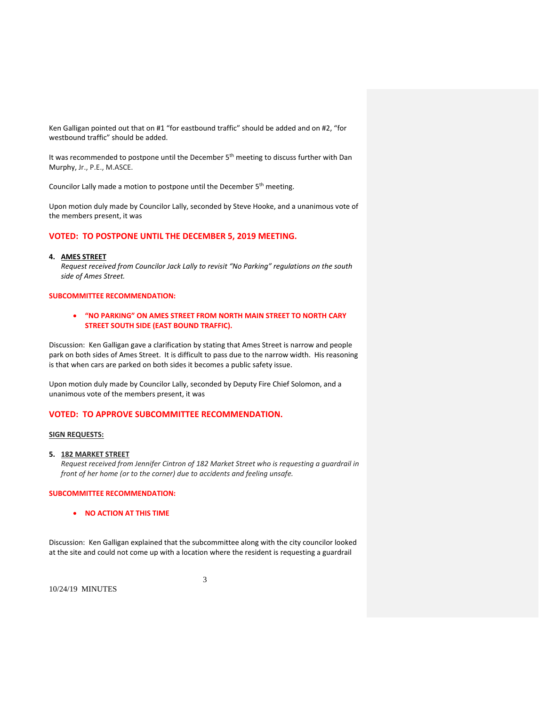Ken Galligan pointed out that on #1 "for eastbound traffic" should be added and on #2, "for westbound traffic" should be added.

It was recommended to postpone until the December 5<sup>th</sup> meeting to discuss further with Dan Murphy, Jr., P.E., M.ASCE.

Councilor Lally made a motion to postpone until the December 5<sup>th</sup> meeting.

Upon motion duly made by Councilor Lally, seconded by Steve Hooke, and a unanimous vote of the members present, it was

## **VOTED: TO POSTPONE UNTIL THE DECEMBER 5, 2019 MEETING.**

#### **4. AMES STREET**

*Request received from Councilor Jack Lally to revisit "No Parking" regulations on the south side of Ames Street.*

#### **SUBCOMMITTEE RECOMMENDATION:**

### **"NO PARKING" ON AMES STREET FROM NORTH MAIN STREET TO NORTH CARY STREET SOUTH SIDE (EAST BOUND TRAFFIC).**

Discussion: Ken Galligan gave a clarification by stating that Ames Street is narrow and people park on both sides of Ames Street. It is difficult to pass due to the narrow width. His reasoning is that when cars are parked on both sides it becomes a public safety issue.

Upon motion duly made by Councilor Lally, seconded by Deputy Fire Chief Solomon, and a unanimous vote of the members present, it was

## **VOTED: TO APPROVE SUBCOMMITTEE RECOMMENDATION.**

#### **SIGN REQUESTS:**

#### **5. 182 MARKET STREET**

*Request received from Jennifer Cintron of 182 Market Street who is requesting a guardrail in front of her home (or to the corner) due to accidents and feeling unsafe.*

## **SUBCOMMITTEE RECOMMENDATION:**

**NO ACTION AT THIS TIME**

Discussion: Ken Galligan explained that the subcommittee along with the city councilor looked at the site and could not come up with a location where the resident is requesting a guardrail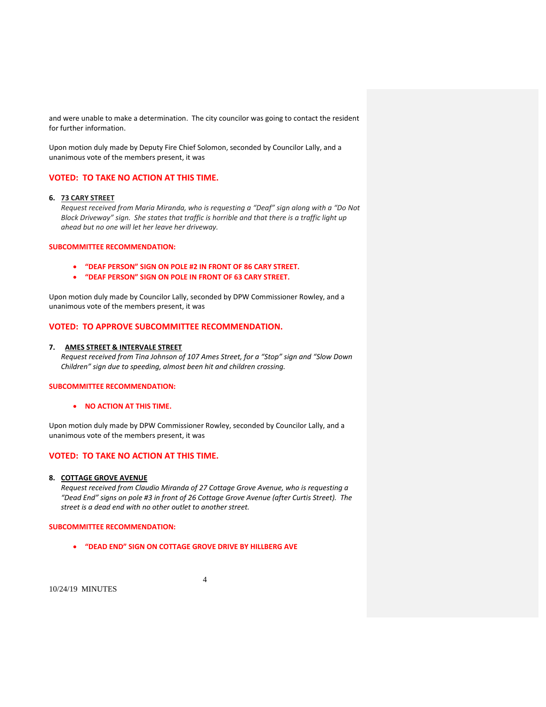and were unable to make a determination. The city councilor was going to contact the resident for further information.

Upon motion duly made by Deputy Fire Chief Solomon, seconded by Councilor Lally, and a unanimous vote of the members present, it was

## **VOTED: TO TAKE NO ACTION AT THIS TIME.**

## **6. 73 CARY STREET**

*Request received from Maria Miranda, who is requesting a "Deaf" sign along with a "Do Not Block Driveway" sign. She states that traffic is horrible and that there is a traffic light up ahead but no one will let her leave her driveway.*

#### **SUBCOMMITTEE RECOMMENDATION:**

- **"DEAF PERSON" SIGN ON POLE #2 IN FRONT OF 86 CARY STREET.**
- **"DEAF PERSON" SIGN ON POLE IN FRONT OF 63 CARY STREET.**

Upon motion duly made by Councilor Lally, seconded by DPW Commissioner Rowley, and a unanimous vote of the members present, it was

### **VOTED: TO APPROVE SUBCOMMITTEE RECOMMENDATION.**

#### **7. AMES STREET & INTERVALE STREET**

*Request received from Tina Johnson of 107 Ames Street, for a "Stop" sign and "Slow Down Children" sign due to speeding, almost been hit and children crossing.*

### **SUBCOMMITTEE RECOMMENDATION:**

**NO ACTION AT THIS TIME.**

Upon motion duly made by DPW Commissioner Rowley, seconded by Councilor Lally, and a unanimous vote of the members present, it was

## **VOTED: TO TAKE NO ACTION AT THIS TIME.**

#### **8. COTTAGE GROVE AVENUE**

*Request received from Claudio Miranda of 27 Cottage Grove Avenue, who is requesting a "Dead End" signs on pole #3 in front of 26 Cottage Grove Avenue (after Curtis Street). The street is a dead end with no other outlet to another street.*

4

### **SUBCOMMITTEE RECOMMENDATION:**

**"DEAD END" SIGN ON COTTAGE GROVE DRIVE BY HILLBERG AVE**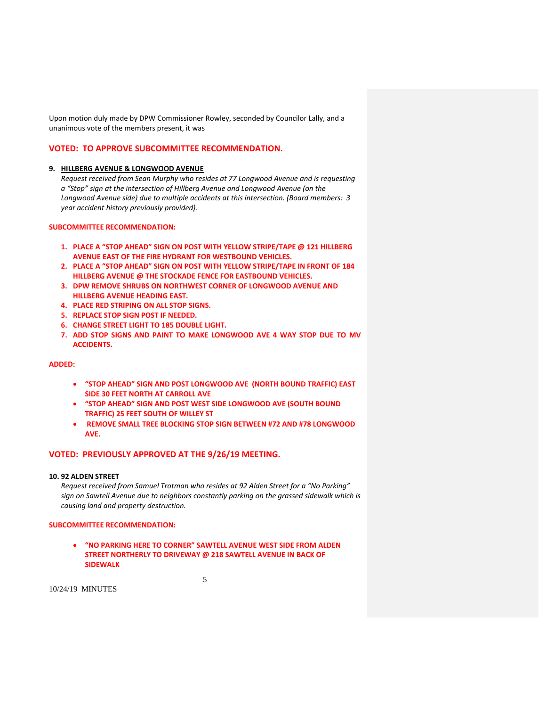Upon motion duly made by DPW Commissioner Rowley, seconded by Councilor Lally, and a unanimous vote of the members present, it was

### **VOTED: TO APPROVE SUBCOMMITTEE RECOMMENDATION.**

#### **9. HILLBERG AVENUE & LONGWOOD AVENUE**

*Request received from Sean Murphy who resides at 77 Longwood Avenue and is requesting a "Stop" sign at the intersection of Hillberg Avenue and Longwood Avenue (on the Longwood Avenue side) due to multiple accidents at this intersection. (Board members: 3 year accident history previously provided).*

### **SUBCOMMITTEE RECOMMENDATION:**

- **1. PLACE A "STOP AHEAD" SIGN ON POST WITH YELLOW STRIPE/TAPE @ 121 HILLBERG AVENUE EAST OF THE FIRE HYDRANT FOR WESTBOUND VEHICLES.**
- **2. PLACE A "STOP AHEAD" SIGN ON POST WITH YELLOW STRIPE/TAPE IN FRONT OF 184 HILLBERG AVENUE @ THE STOCKADE FENCE FOR EASTBOUND VEHICLES.**
- **3. DPW REMOVE SHRUBS ON NORTHWEST CORNER OF LONGWOOD AVENUE AND HILLBERG AVENUE HEADING EAST.**
- **4. PLACE RED STRIPING ON ALL STOP SIGNS.**
- **5. REPLACE STOP SIGN POST IF NEEDED.**
- **6. CHANGE STREET LIGHT TO 185 DOUBLE LIGHT.**
- **7. ADD STOP SIGNS AND PAINT TO MAKE LONGWOOD AVE 4 WAY STOP DUE TO MV ACCIDENTS.**

### **ADDED:**

- **"STOP AHEAD" SIGN AND POST LONGWOOD AVE (NORTH BOUND TRAFFIC) EAST SIDE 30 FEET NORTH AT CARROLL AVE**
- **"STOP AHEAD" SIGN AND POST WEST SIDE LONGWOOD AVE (SOUTH BOUND TRAFFIC) 25 FEET SOUTH OF WILLEY ST**
- **REMOVE SMALL TREE BLOCKING STOP SIGN BETWEEN #72 AND #78 LONGWOOD AVE.**

## **VOTED: PREVIOUSLY APPROVED AT THE 9/26/19 MEETING.**

## **10. 92 ALDEN STREET**

*Request received from Samuel Trotman who resides at 92 Alden Street for a "No Parking" sign on Sawtell Avenue due to neighbors constantly parking on the grassed sidewalk which is causing land and property destruction.*

#### **SUBCOMMITTEE RECOMMENDATION:**

 **"NO PARKING HERE TO CORNER" SAWTELL AVENUE WEST SIDE FROM ALDEN STREET NORTHERLY TO DRIVEWAY @ 218 SAWTELL AVENUE IN BACK OF SIDEWALK**

5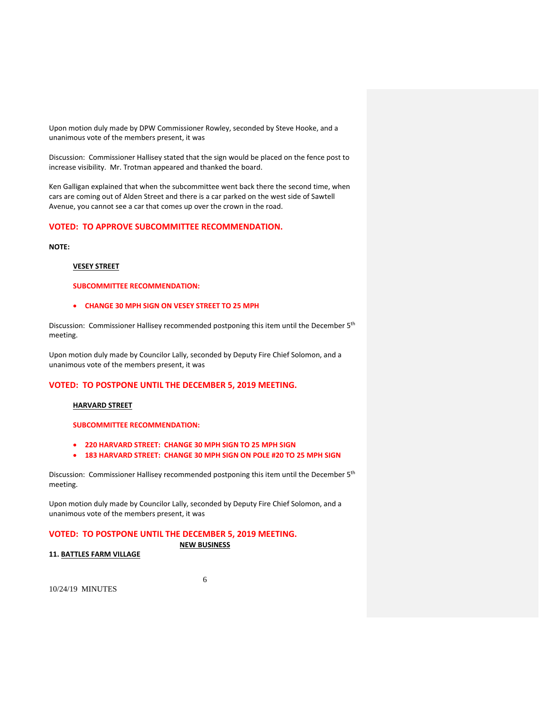Upon motion duly made by DPW Commissioner Rowley, seconded by Steve Hooke, and a unanimous vote of the members present, it was

Discussion: Commissioner Hallisey stated that the sign would be placed on the fence post to increase visibility. Mr. Trotman appeared and thanked the board.

Ken Galligan explained that when the subcommittee went back there the second time, when cars are coming out of Alden Street and there is a car parked on the west side of Sawtell Avenue, you cannot see a car that comes up over the crown in the road.

## **VOTED: TO APPROVE SUBCOMMITTEE RECOMMENDATION.**

**NOTE:**

### **VESEY STREET**

## **SUBCOMMITTEE RECOMMENDATION:**

#### **CHANGE 30 MPH SIGN ON VESEY STREET TO 25 MPH**

Discussion: Commissioner Hallisey recommended postponing this item until the December 5<sup>th</sup> meeting.

Upon motion duly made by Councilor Lally, seconded by Deputy Fire Chief Solomon, and a unanimous vote of the members present, it was

## **VOTED: TO POSTPONE UNTIL THE DECEMBER 5, 2019 MEETING.**

#### **HARVARD STREET**

### **SUBCOMMITTEE RECOMMENDATION:**

- **220 HARVARD STREET: CHANGE 30 MPH SIGN TO 25 MPH SIGN**
- **183 HARVARD STREET: CHANGE 30 MPH SIGN ON POLE #20 TO 25 MPH SIGN**

Discussion: Commissioner Hallisey recommended postponing this item until the December 5<sup>th</sup> meeting.

Upon motion duly made by Councilor Lally, seconded by Deputy Fire Chief Solomon, and a unanimous vote of the members present, it was

### **VOTED: TO POSTPONE UNTIL THE DECEMBER 5, 2019 MEETING.**

### **NEW BUSINESS**

### **11. BATTLES FARM VILLAGE**

6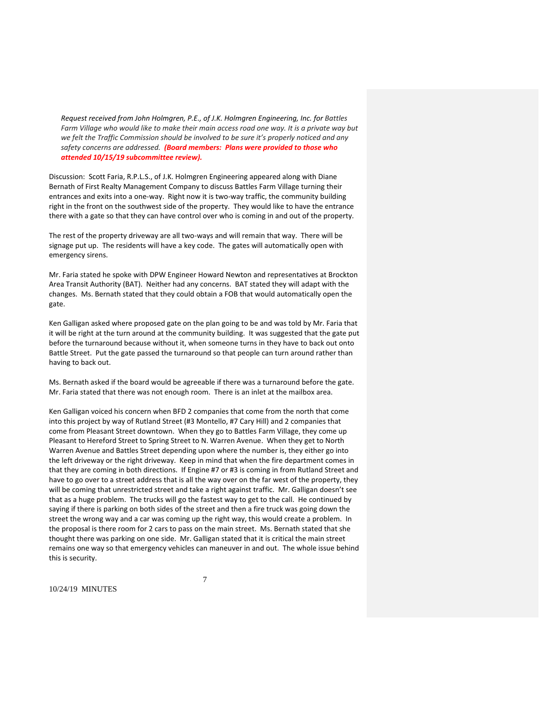*Request received from John Holmgren, P.E., of J.K. Holmgren Engineering, Inc. for Battles Farm Village who would like to make their main access road one way. It is a private way but we felt the Traffic Commission should be involved to be sure it's properly noticed and any safety concerns are addressed. (Board members: Plans were provided to those who attended 10/15/19 subcommittee review).*

Discussion: Scott Faria, R.P.L.S., of J.K. Holmgren Engineering appeared along with Diane Bernath of First Realty Management Company to discuss Battles Farm Village turning their entrances and exits into a one-way. Right now it is two-way traffic, the community building right in the front on the southwest side of the property. They would like to have the entrance there with a gate so that they can have control over who is coming in and out of the property.

The rest of the property driveway are all two-ways and will remain that way. There will be signage put up. The residents will have a key code. The gates will automatically open with emergency sirens.

Mr. Faria stated he spoke with DPW Engineer Howard Newton and representatives at Brockton Area Transit Authority (BAT). Neither had any concerns. BAT stated they will adapt with the changes. Ms. Bernath stated that they could obtain a FOB that would automatically open the gate.

Ken Galligan asked where proposed gate on the plan going to be and was told by Mr. Faria that it will be right at the turn around at the community building. It was suggested that the gate put before the turnaround because without it, when someone turns in they have to back out onto Battle Street. Put the gate passed the turnaround so that people can turn around rather than having to back out.

Ms. Bernath asked if the board would be agreeable if there was a turnaround before the gate. Mr. Faria stated that there was not enough room. There is an inlet at the mailbox area.

Ken Galligan voiced his concern when BFD 2 companies that come from the north that come into this project by way of Rutland Street (#3 Montello, #7 Cary Hill) and 2 companies that come from Pleasant Street downtown. When they go to Battles Farm Village, they come up Pleasant to Hereford Street to Spring Street to N. Warren Avenue. When they get to North Warren Avenue and Battles Street depending upon where the number is, they either go into the left driveway or the right driveway. Keep in mind that when the fire department comes in that they are coming in both directions. If Engine #7 or #3 is coming in from Rutland Street and have to go over to a street address that is all the way over on the far west of the property, they will be coming that unrestricted street and take a right against traffic. Mr. Galligan doesn't see that as a huge problem. The trucks will go the fastest way to get to the call. He continued by saying if there is parking on both sides of the street and then a fire truck was going down the street the wrong way and a car was coming up the right way, this would create a problem. In the proposal is there room for 2 cars to pass on the main street. Ms. Bernath stated that she thought there was parking on one side. Mr. Galligan stated that it is critical the main street remains one way so that emergency vehicles can maneuver in and out. The whole issue behind this is security.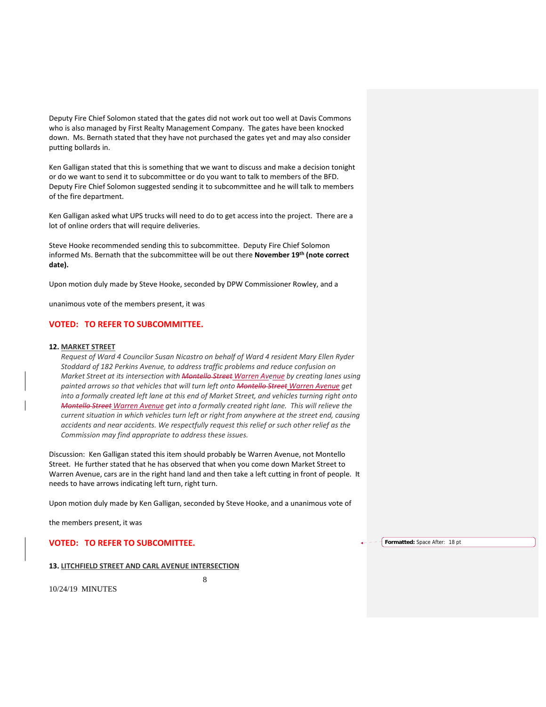Deputy Fire Chief Solomon stated that the gates did not work out too well at Davis Commons who is also managed by First Realty Management Company. The gates have been knocked down. Ms. Bernath stated that they have not purchased the gates yet and may also consider putting bollards in.

Ken Galligan stated that this is something that we want to discuss and make a decision tonight or do we want to send it to subcommittee or do you want to talk to members of the BFD. Deputy Fire Chief Solomon suggested sending it to subcommittee and he will talk to members of the fire department.

Ken Galligan asked what UPS trucks will need to do to get access into the project. There are a lot of online orders that will require deliveries.

Steve Hooke recommended sending this to subcommittee. Deputy Fire Chief Solomon informed Ms. Bernath that the subcommittee will be out there **November 19th (note correct date).**

Upon motion duly made by Steve Hooke, seconded by DPW Commissioner Rowley, and a

unanimous vote of the members present, it was

## **VOTED: TO REFER TO SUBCOMMITTEE.**

#### **12. MARKET STREET**

*Request of Ward 4 Councilor Susan Nicastro on behalf of Ward 4 resident Mary Ellen Ryder Stoddard of 182 Perkins Avenue, to address traffic problems and reduce confusion on Market Street at its intersection with Montello Street Warren Avenue by creating lanes using painted arrows so that vehicles that will turn left onto Montello Street Warren Avenue get into a formally created left lane at this end of Market Street, and vehicles turning right onto Montello Street Warren Avenue get into a formally created right lane. This will relieve the current situation in which vehicles turn left or right from anywhere at the street end, causing accidents and near accidents. We respectfully request this relief or such other relief as the Commission may find appropriate to address these issues.*

Discussion: Ken Galligan stated this item should probably be Warren Avenue, not Montello Street. He further stated that he has observed that when you come down Market Street to Warren Avenue, cars are in the right hand land and then take a left cutting in front of people. It needs to have arrows indicating left turn, right turn.

Upon motion duly made by Ken Galligan, seconded by Steve Hooke, and a unanimous vote of

the members present, it was

**VOTED: TO REFER TO SUBCOMITTEE.**

**13. LITCHFIELD STREET AND CARL AVENUE INTERSECTION**

8

10/24/19 MINUTES

**Formatted:** Space After: 18 pt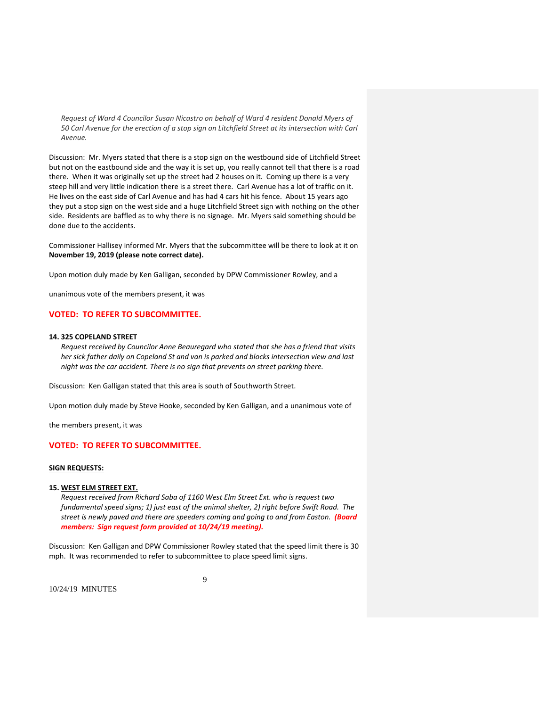*Request of Ward 4 Councilor Susan Nicastro on behalf of Ward 4 resident Donald Myers of 50 Carl Avenue for the erection of a stop sign on Litchfield Street at its intersection with Carl Avenue.*

Discussion: Mr. Myers stated that there is a stop sign on the westbound side of Litchfield Street but not on the eastbound side and the way it is set up, you really cannot tell that there is a road there. When it was originally set up the street had 2 houses on it. Coming up there is a very steep hill and very little indication there is a street there. Carl Avenue has a lot of traffic on it. He lives on the east side of Carl Avenue and has had 4 cars hit his fence. About 15 years ago they put a stop sign on the west side and a huge Litchfield Street sign with nothing on the other side. Residents are baffled as to why there is no signage. Mr. Myers said something should be done due to the accidents.

Commissioner Hallisey informed Mr. Myers that the subcommittee will be there to look at it on **November 19, 2019 (please note correct date).**

Upon motion duly made by Ken Galligan, seconded by DPW Commissioner Rowley, and a

unanimous vote of the members present, it was

## **VOTED: TO REFER TO SUBCOMMITTEE.**

#### **14. 325 COPELAND STREET**

*Request received by Councilor Anne Beauregard who stated that she has a friend that visits her sick father daily on Copeland St and van is parked and blocks intersection view and last night was the car accident. There is no sign that prevents on street parking there.*

Discussion: Ken Galligan stated that this area is south of Southworth Street.

Upon motion duly made by Steve Hooke, seconded by Ken Galligan, and a unanimous vote of

the members present, it was

### **VOTED: TO REFER TO SUBCOMMITTEE.**

#### **SIGN REQUESTS:**

#### **15. WEST ELM STREET EXT.**

*Request received from Richard Saba of 1160 West Elm Street Ext. who is request two fundamental speed signs; 1) just east of the animal shelter, 2) right before Swift Road. The street is newly paved and there are speeders coming and going to and from Easton. (Board members: Sign request form provided at 10/24/19 meeting).*

Discussion: Ken Galligan and DPW Commissioner Rowley stated that the speed limit there is 30 mph. It was recommended to refer to subcommittee to place speed limit signs.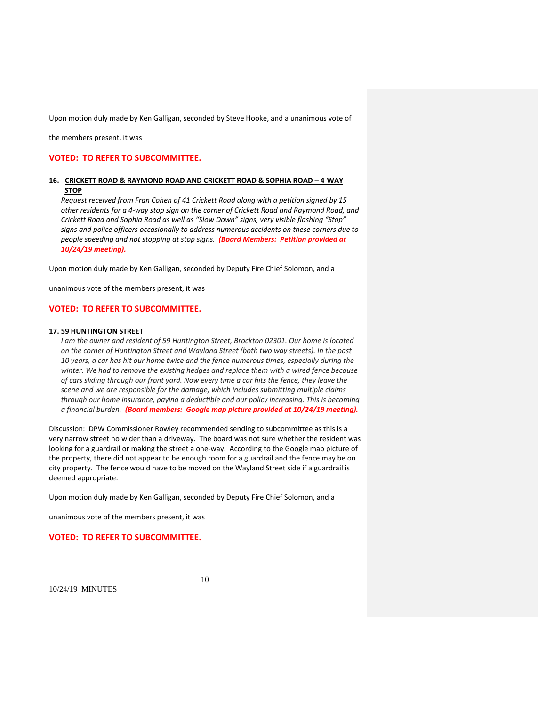Upon motion duly made by Ken Galligan, seconded by Steve Hooke, and a unanimous vote of

the members present, it was

## **VOTED: TO REFER TO SUBCOMMITTEE.**

## **16. CRICKETT ROAD & RAYMOND ROAD AND CRICKETT ROAD & SOPHIA ROAD – 4‐WAY STOP**

*Request received from Fran Cohen of 41 Crickett Road along with a petition signed by 15 other residents for a 4‐way stop sign on the corner of Crickett Road and Raymond Road, and Crickett Road and Sophia Road as well as "Slow Down" signs, very visible flashing "Stop" signs and police officers occasionally to address numerous accidents on these corners due to people speeding and not stopping at stop signs. (Board Members: Petition provided at 10/24/19 meeting).*

Upon motion duly made by Ken Galligan, seconded by Deputy Fire Chief Solomon, and a

unanimous vote of the members present, it was

### **VOTED: TO REFER TO SUBCOMMITTEE.**

#### **17. 59 HUNTINGTON STREET**

*I am the owner and resident of 59 Huntington Street, Brockton 02301. Our home is located on the corner of Huntington Street and Wayland Street (both two way streets). In the past 10 years, a car has hit our home twice and the fence numerous times, especially during the winter. We had to remove the existing hedges and replace them with a wired fence because of cars sliding through our front yard. Now every time a car hits the fence, they leave the scene and we are responsible for the damage, which includes submitting multiple claims through our home insurance, paying a deductible and our policy increasing. This is becoming a financial burden. (Board members: Google map picture provided at 10/24/19 meeting).*

Discussion: DPW Commissioner Rowley recommended sending to subcommittee as this is a very narrow street no wider than a driveway. The board was not sure whether the resident was looking for a guardrail or making the street a one‐way. According to the Google map picture of the property, there did not appear to be enough room for a guardrail and the fence may be on city property. The fence would have to be moved on the Wayland Street side if a guardrail is deemed appropriate.

Upon motion duly made by Ken Galligan, seconded by Deputy Fire Chief Solomon, and a

unanimous vote of the members present, it was

### **VOTED: TO REFER TO SUBCOMMITTEE.**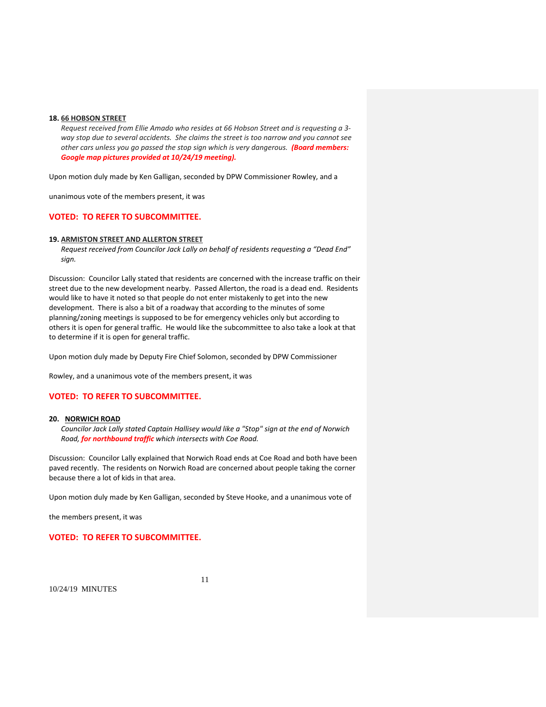#### **18. 66 HOBSON STREET**

*Request received from Ellie Amado who resides at 66 Hobson Street and is requesting a 3‐ way stop due to several accidents. She claims the street is too narrow and you cannot see other cars unless you go passed the stop sign which is very dangerous. (Board members: Google map pictures provided at 10/24/19 meeting).*

Upon motion duly made by Ken Galligan, seconded by DPW Commissioner Rowley, and a

unanimous vote of the members present, it was

## **VOTED: TO REFER TO SUBCOMMITTEE.**

#### **19. ARMISTON STREET AND ALLERTON STREET**

*Request received from Councilor Jack Lally on behalf of residents requesting a "Dead End" sign.*

Discussion: Councilor Lally stated that residents are concerned with the increase traffic on their street due to the new development nearby. Passed Allerton, the road is a dead end. Residents would like to have it noted so that people do not enter mistakenly to get into the new development. There is also a bit of a roadway that according to the minutes of some planning/zoning meetings is supposed to be for emergency vehicles only but according to others it is open for general traffic. He would like the subcommittee to also take a look at that to determine if it is open for general traffic.

Upon motion duly made by Deputy Fire Chief Solomon, seconded by DPW Commissioner

Rowley, and a unanimous vote of the members present, it was

## **VOTED: TO REFER TO SUBCOMMITTEE.**

#### **20. NORWICH ROAD**

*Councilor Jack Lally stated Captain Hallisey would like a "Stop" sign at the end of Norwich Road, for northbound traffic which intersects with Coe Road.* 

Discussion: Councilor Lally explained that Norwich Road ends at Coe Road and both have been paved recently. The residents on Norwich Road are concerned about people taking the corner because there a lot of kids in that area.

Upon motion duly made by Ken Galligan, seconded by Steve Hooke, and a unanimous vote of

the members present, it was

### **VOTED: TO REFER TO SUBCOMMITTEE.**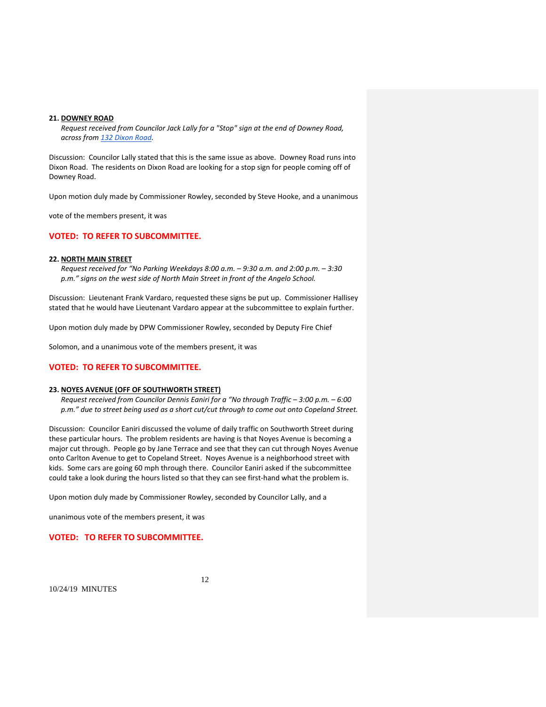#### **21. DOWNEY ROAD**

*Request received from Councilor Jack Lally for a "Stop" sign at the end of Downey Road, across from 132 Dixon Road.* 

Discussion: Councilor Lally stated that this is the same issue as above. Downey Road runs into Dixon Road. The residents on Dixon Road are looking for a stop sign for people coming off of Downey Road.

Upon motion duly made by Commissioner Rowley, seconded by Steve Hooke, and a unanimous

vote of the members present, it was

## **VOTED: TO REFER TO SUBCOMMITTEE.**

#### **22. NORTH MAIN STREET**

*Request received for "No Parking Weekdays 8:00 a.m. – 9:30 a.m. and 2:00 p.m. – 3:30 p.m." signs on the west side of North Main Street in front of the Angelo School.* 

Discussion: Lieutenant Frank Vardaro, requested these signs be put up. Commissioner Hallisey stated that he would have Lieutenant Vardaro appear at the subcommittee to explain further.

Upon motion duly made by DPW Commissioner Rowley, seconded by Deputy Fire Chief

Solomon, and a unanimous vote of the members present, it was

### **VOTED: TO REFER TO SUBCOMMITTEE.**

#### **23. NOYES AVENUE (OFF OF SOUTHWORTH STREET)**

*Request received from Councilor Dennis Eaniri for a "No through Traffic – 3:00 p.m. – 6:00 p.m." due to street being used as a short cut/cut through to come out onto Copeland Street.*

Discussion: Councilor Eaniri discussed the volume of daily traffic on Southworth Street during these particular hours. The problem residents are having is that Noyes Avenue is becoming a major cut through. People go by Jane Terrace and see that they can cut through Noyes Avenue onto Carlton Avenue to get to Copeland Street. Noyes Avenue is a neighborhood street with kids. Some cars are going 60 mph through there. Councilor Eaniri asked if the subcommittee could take a look during the hours listed so that they can see first-hand what the problem is.

Upon motion duly made by Commissioner Rowley, seconded by Councilor Lally, and a

unanimous vote of the members present, it was

### **VOTED: TO REFER TO SUBCOMMITTEE.**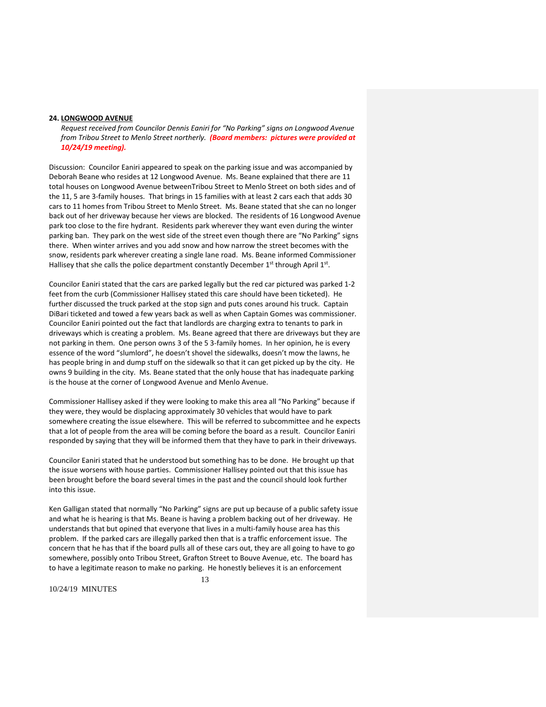#### **24. LONGWOOD AVENUE**

*Request received from Councilor Dennis Eaniri for "No Parking" signs on Longwood Avenue from Tribou Street to Menlo Street northerly. (Board members: pictures were provided at 10/24/19 meeting).*

Discussion: Councilor Eaniri appeared to speak on the parking issue and was accompanied by Deborah Beane who resides at 12 Longwood Avenue. Ms. Beane explained that there are 11 total houses on Longwood Avenue betweenTribou Street to Menlo Street on both sides and of the 11, 5 are 3‐family houses. That brings in 15 families with at least 2 cars each that adds 30 cars to 11 homes from Tribou Street to Menlo Street. Ms. Beane stated that she can no longer back out of her driveway because her views are blocked. The residents of 16 Longwood Avenue park too close to the fire hydrant. Residents park wherever they want even during the winter parking ban. They park on the west side of the street even though there are "No Parking" signs there. When winter arrives and you add snow and how narrow the street becomes with the snow, residents park wherever creating a single lane road. Ms. Beane informed Commissioner Hallisey that she calls the police department constantly December  $1<sup>st</sup>$  through April  $1<sup>st</sup>$ .

Councilor Eaniri stated that the cars are parked legally but the red car pictured was parked 1‐2 feet from the curb (Commissioner Hallisey stated this care should have been ticketed). He further discussed the truck parked at the stop sign and puts cones around his truck. Captain DiBari ticketed and towed a few years back as well as when Captain Gomes was commissioner. Councilor Eaniri pointed out the fact that landlords are charging extra to tenants to park in driveways which is creating a problem. Ms. Beane agreed that there are driveways but they are not parking in them. One person owns 3 of the 5 3-family homes. In her opinion, he is every essence of the word "slumlord", he doesn't shovel the sidewalks, doesn't mow the lawns, he has people bring in and dump stuff on the sidewalk so that it can get picked up by the city. He owns 9 building in the city. Ms. Beane stated that the only house that has inadequate parking is the house at the corner of Longwood Avenue and Menlo Avenue.

Commissioner Hallisey asked if they were looking to make this area all "No Parking" because if they were, they would be displacing approximately 30 vehicles that would have to park somewhere creating the issue elsewhere. This will be referred to subcommittee and he expects that a lot of people from the area will be coming before the board as a result. Councilor Eaniri responded by saying that they will be informed them that they have to park in their driveways.

Councilor Eaniri stated that he understood but something has to be done. He brought up that the issue worsens with house parties. Commissioner Hallisey pointed out that this issue has been brought before the board several times in the past and the council should look further into this issue.

Ken Galligan stated that normally "No Parking" signs are put up because of a public safety issue and what he is hearing is that Ms. Beane is having a problem backing out of her driveway. He understands that but opined that everyone that lives in a multi‐family house area has this problem. If the parked cars are illegally parked then that is a traffic enforcement issue. The concern that he has that if the board pulls all of these cars out, they are all going to have to go somewhere, possibly onto Tribou Street, Grafton Street to Bouve Avenue, etc. The board has to have a legitimate reason to make no parking. He honestly believes it is an enforcement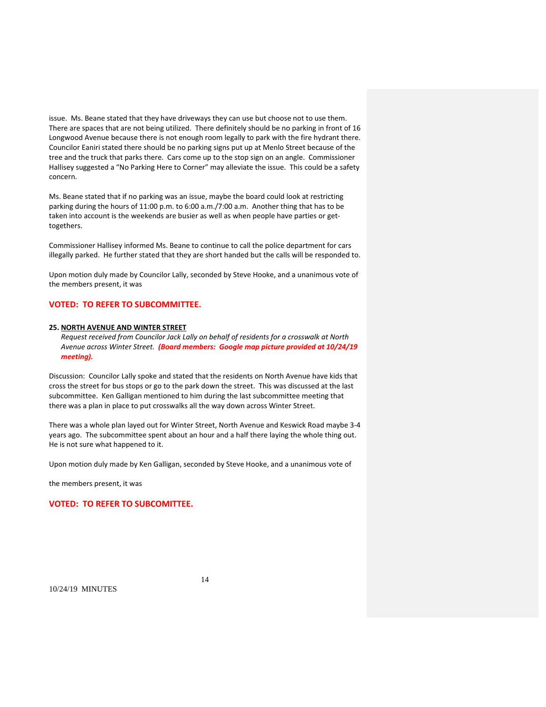issue. Ms. Beane stated that they have driveways they can use but choose not to use them. There are spaces that are not being utilized. There definitely should be no parking in front of 16 Longwood Avenue because there is not enough room legally to park with the fire hydrant there. Councilor Eaniri stated there should be no parking signs put up at Menlo Street because of the tree and the truck that parks there. Cars come up to the stop sign on an angle. Commissioner Hallisey suggested a "No Parking Here to Corner" may alleviate the issue. This could be a safety concern.

Ms. Beane stated that if no parking was an issue, maybe the board could look at restricting parking during the hours of 11:00 p.m. to 6:00 a.m./7:00 a.m. Another thing that has to be taken into account is the weekends are busier as well as when people have parties or gettogethers.

Commissioner Hallisey informed Ms. Beane to continue to call the police department for cars illegally parked. He further stated that they are short handed but the calls will be responded to.

Upon motion duly made by Councilor Lally, seconded by Steve Hooke, and a unanimous vote of the members present, it was

## **VOTED: TO REFER TO SUBCOMMITTEE.**

#### **25. NORTH AVENUE AND WINTER STREET**

*Request received from Councilor Jack Lally on behalf of residents for a crosswalk at North Avenue across Winter Street. (Board members: Google map picture provided at 10/24/19 meeting).*

Discussion: Councilor Lally spoke and stated that the residents on North Avenue have kids that cross the street for bus stops or go to the park down the street. This was discussed at the last subcommittee. Ken Galligan mentioned to him during the last subcommittee meeting that there was a plan in place to put crosswalks all the way down across Winter Street.

There was a whole plan layed out for Winter Street, North Avenue and Keswick Road maybe 3‐4 years ago. The subcommittee spent about an hour and a half there laying the whole thing out. He is not sure what happened to it.

Upon motion duly made by Ken Galligan, seconded by Steve Hooke, and a unanimous vote of

the members present, it was

## **VOTED: TO REFER TO SUBCOMITTEE.**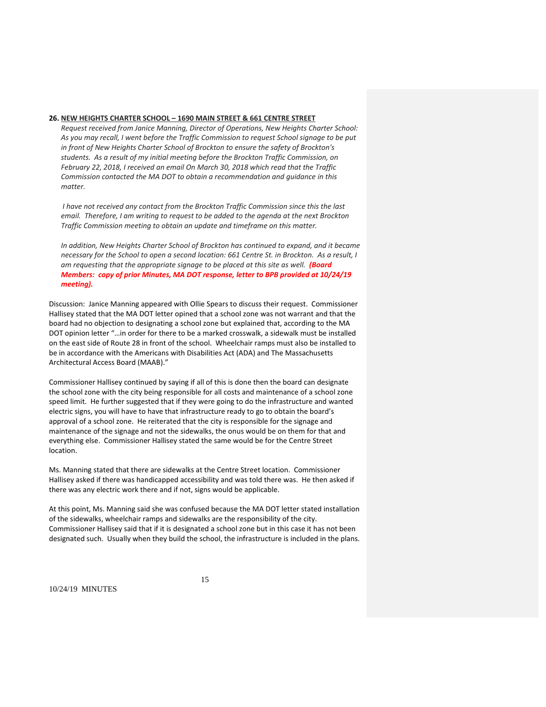### **26. NEW HEIGHTS CHARTER SCHOOL – 1690 MAIN STREET & 661 CENTRE STREET**

*Request received from Janice Manning, Director of Operations, New Heights Charter School: As you may recall, I went before the Traffic Commission to request School signage to be put in front of New Heights Charter School of Brockton to ensure the safety of Brockton's students. As a result of my initial meeting before the Brockton Traffic Commission, on February 22, 2018, I received an email On March 30, 2018 which read that the Traffic Commission contacted the MA DOT to obtain a recommendation and guidance in this matter.*

*I have not received any contact from the Brockton Traffic Commission since this the last email. Therefore, I am writing to request to be added to the agenda at the next Brockton Traffic Commission meeting to obtain an update and timeframe on this matter.*

*In addition, New Heights Charter School of Brockton has continued to expand, and it became* necessary for the School to open a second location: 661 Centre St. in Brockton. As a result, I *am requesting that the appropriate signage to be placed at this site as well. (Board Members: copy of prior Minutes, MA DOT response, letter to BPB provided at 10/24/19 meeting).*

Discussion: Janice Manning appeared with Ollie Spears to discuss their request. Commissioner Hallisey stated that the MA DOT letter opined that a school zone was not warrant and that the board had no objection to designating a school zone but explained that, according to the MA DOT opinion letter "…in order for there to be a marked crosswalk, a sidewalk must be installed on the east side of Route 28 in front of the school. Wheelchair ramps must also be installed to be in accordance with the Americans with Disabilities Act (ADA) and The Massachusetts Architectural Access Board (MAAB)."

Commissioner Hallisey continued by saying if all of this is done then the board can designate the school zone with the city being responsible for all costs and maintenance of a school zone speed limit. He further suggested that if they were going to do the infrastructure and wanted electric signs, you will have to have that infrastructure ready to go to obtain the board's approval of a school zone. He reiterated that the city is responsible for the signage and maintenance of the signage and not the sidewalks, the onus would be on them for that and everything else. Commissioner Hallisey stated the same would be for the Centre Street location.

Ms. Manning stated that there are sidewalks at the Centre Street location. Commissioner Hallisey asked if there was handicapped accessibility and was told there was. He then asked if there was any electric work there and if not, signs would be applicable.

At this point, Ms. Manning said she was confused because the MA DOT letter stated installation of the sidewalks, wheelchair ramps and sidewalks are the responsibility of the city. Commissioner Hallisey said that if it is designated a school zone but in this case it has not been designated such. Usually when they build the school, the infrastructure is included in the plans.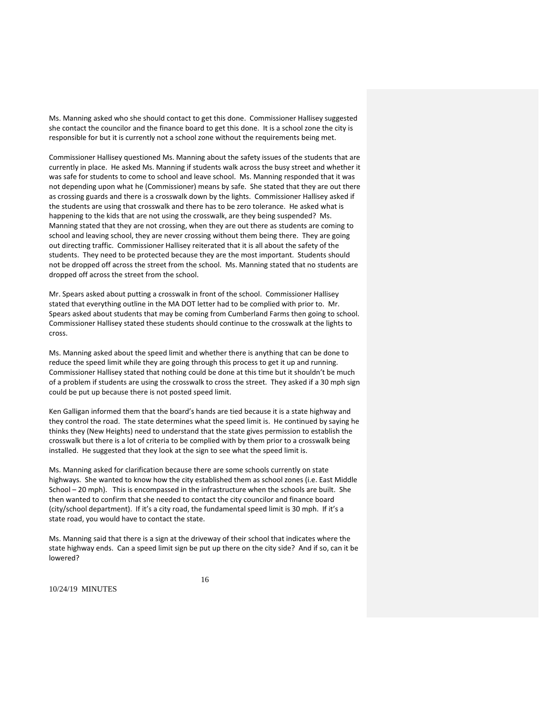Ms. Manning asked who she should contact to get this done. Commissioner Hallisey suggested she contact the councilor and the finance board to get this done. It is a school zone the city is responsible for but it is currently not a school zone without the requirements being met.

Commissioner Hallisey questioned Ms. Manning about the safety issues of the students that are currently in place. He asked Ms. Manning if students walk across the busy street and whether it was safe for students to come to school and leave school. Ms. Manning responded that it was not depending upon what he (Commissioner) means by safe. She stated that they are out there as crossing guards and there is a crosswalk down by the lights. Commissioner Hallisey asked if the students are using that crosswalk and there has to be zero tolerance. He asked what is happening to the kids that are not using the crosswalk, are they being suspended? Ms. Manning stated that they are not crossing, when they are out there as students are coming to school and leaving school, they are never crossing without them being there. They are going out directing traffic. Commissioner Hallisey reiterated that it is all about the safety of the students. They need to be protected because they are the most important. Students should not be dropped off across the street from the school. Ms. Manning stated that no students are dropped off across the street from the school.

Mr. Spears asked about putting a crosswalk in front of the school. Commissioner Hallisey stated that everything outline in the MA DOT letter had to be complied with prior to. Mr. Spears asked about students that may be coming from Cumberland Farms then going to school. Commissioner Hallisey stated these students should continue to the crosswalk at the lights to cross.

Ms. Manning asked about the speed limit and whether there is anything that can be done to reduce the speed limit while they are going through this process to get it up and running. Commissioner Hallisey stated that nothing could be done at this time but it shouldn't be much of a problem if students are using the crosswalk to cross the street. They asked if a 30 mph sign could be put up because there is not posted speed limit.

Ken Galligan informed them that the board's hands are tied because it is a state highway and they control the road. The state determines what the speed limit is. He continued by saying he thinks they (New Heights) need to understand that the state gives permission to establish the crosswalk but there is a lot of criteria to be complied with by them prior to a crosswalk being installed. He suggested that they look at the sign to see what the speed limit is.

Ms. Manning asked for clarification because there are some schools currently on state highways. She wanted to know how the city established them as school zones (i.e. East Middle School – 20 mph). This is encompassed in the infrastructure when the schools are built. She then wanted to confirm that she needed to contact the city councilor and finance board (city/school department). If it's a city road, the fundamental speed limit is 30 mph. If it's a state road, you would have to contact the state.

Ms. Manning said that there is a sign at the driveway of their school that indicates where the state highway ends. Can a speed limit sign be put up there on the city side? And if so, can it be lowered?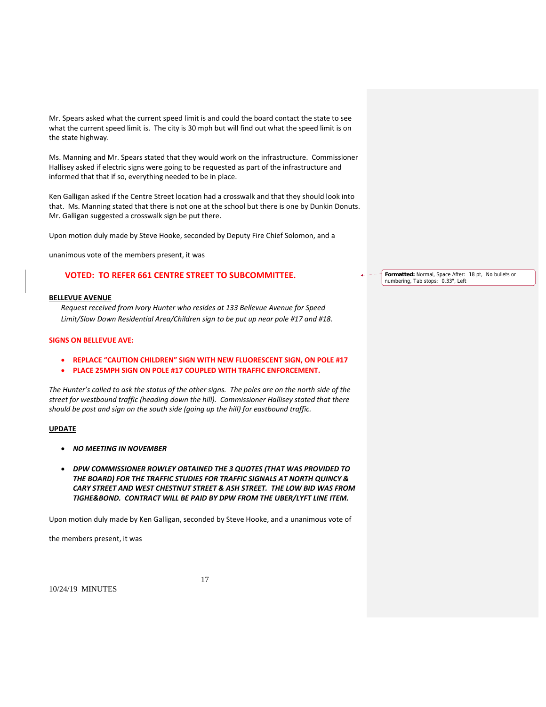Mr. Spears asked what the current speed limit is and could the board contact the state to see what the current speed limit is. The city is 30 mph but will find out what the speed limit is on the state highway.

Ms. Manning and Mr. Spears stated that they would work on the infrastructure. Commissioner Hallisey asked if electric signs were going to be requested as part of the infrastructure and informed that that if so, everything needed to be in place.

Ken Galligan asked if the Centre Street location had a crosswalk and that they should look into that. Ms. Manning stated that there is not one at the school but there is one by Dunkin Donuts. Mr. Galligan suggested a crosswalk sign be put there.

Upon motion duly made by Steve Hooke, seconded by Deputy Fire Chief Solomon, and a

unanimous vote of the members present, it was

# **VOTED: TO REFER 661 CENTRE STREET TO SUBCOMMITTEE.**

#### **BELLEVUE AVENUE**

*Request received from Ivory Hunter who resides at 133 Bellevue Avenue for Speed Limit/Slow Down Residential Area/Children sign to be put up near pole #17 and #18.*

### **SIGNS ON BELLEVUE AVE:**

- **REPLACE "CAUTION CHILDREN" SIGN WITH NEW FLUORESCENT SIGN, ON POLE #17**
- **PLACE 25MPH SIGN ON POLE #17 COUPLED WITH TRAFFIC ENFORCEMENT.**

The Hunter's called to ask the status of the other signs. The poles are on the north side of the *street for westbound traffic (heading down the hill). Commissioner Hallisey stated that there should be post and sign on the south side (going up the hill) for eastbound traffic.*

### **UPDATE**

- *NO MEETING IN NOVEMBER*
- *DPW COMMISSIONER ROWLEY OBTAINED THE 3 QUOTES (THAT WAS PROVIDED TO THE BOARD) FOR THE TRAFFIC STUDIES FOR TRAFFIC SIGNALS AT NORTH QUINCY & CARY STREET AND WEST CHESTNUT STREET & ASH STREET. THE LOW BID WAS FROM TIGHE&BOND. CONTRACT WILL BE PAID BY DPW FROM THE UBER/LYFT LINE ITEM.*

Upon motion duly made by Ken Galligan, seconded by Steve Hooke, and a unanimous vote of

the members present, it was

17

10/24/19 MINUTES

**Formatted:** Normal, Space After: 18 pt, No bullets or numbering, Tab stops: 0.33", Left